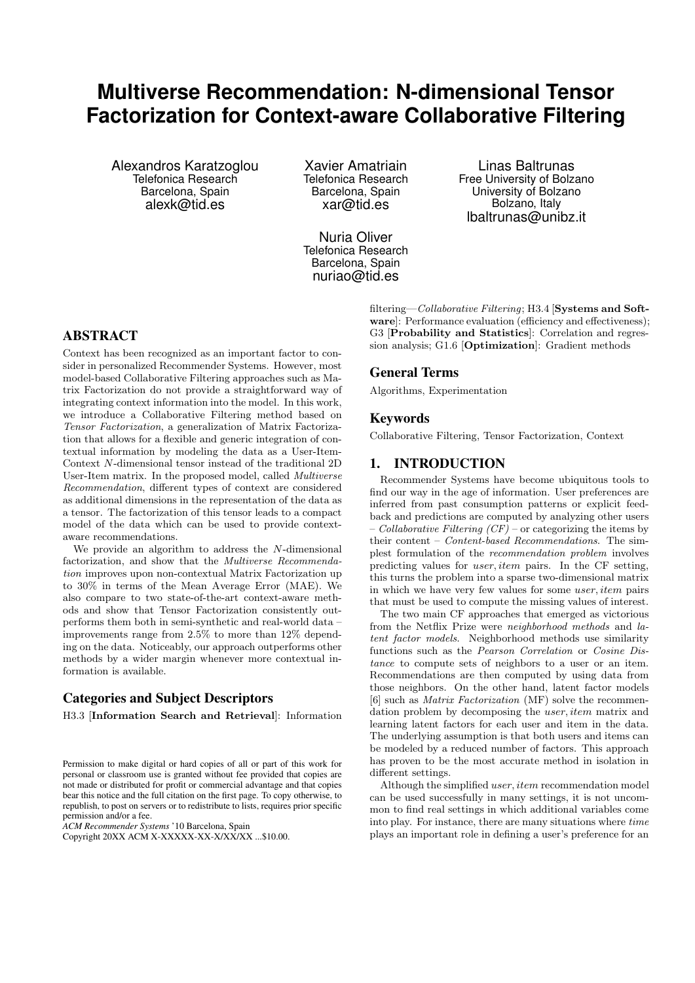# **Multiverse Recommendation: N-dimensional Tensor Factorization for Context-aware Collaborative Filtering**

Alexandros Karatzoglou Telefonica Research Barcelona, Spain alexk@tid.es

Xavier Amatriain Telefonica Research Barcelona, Spain xar@tid.es

Nuria Oliver Telefonica Research Barcelona, Spain nuriao@tid.es

Linas Baltrunas Free University of Bolzano University of Bolzano Bolzano, Italy lbaltrunas@unibz.it

# ABSTRACT

Context has been recognized as an important factor to consider in personalized Recommender Systems. However, most model-based Collaborative Filtering approaches such as Matrix Factorization do not provide a straightforward way of integrating context information into the model. In this work, we introduce a Collaborative Filtering method based on Tensor Factorization, a generalization of Matrix Factorization that allows for a flexible and generic integration of contextual information by modeling the data as a User-Item-Context N-dimensional tensor instead of the traditional 2D User-Item matrix. In the proposed model, called Multiverse Recommendation, different types of context are considered as additional dimensions in the representation of the data as a tensor. The factorization of this tensor leads to a compact model of the data which can be used to provide contextaware recommendations.

We provide an algorithm to address the N-dimensional factorization, and show that the Multiverse Recommendation improves upon non-contextual Matrix Factorization up to 30% in terms of the Mean Average Error (MAE). We also compare to two state-of-the-art context-aware methods and show that Tensor Factorization consistently outperforms them both in semi-synthetic and real-world data – improvements range from 2.5% to more than 12% depending on the data. Noticeably, our approach outperforms other methods by a wider margin whenever more contextual information is available.

# Categories and Subject Descriptors

H3.3 [Information Search and Retrieval]: Information

*ACM Recommender Systems* '10 Barcelona, Spain

filtering—Collaborative Filtering; H3.4 [Systems and Software]: Performance evaluation (efficiency and effectiveness); G3 [Probability and Statistics]: Correlation and regression analysis; G1.6 [Optimization]: Gradient methods

## General Terms

Algorithms, Experimentation

# Keywords

Collaborative Filtering, Tensor Factorization, Context

# 1. INTRODUCTION

Recommender Systems have become ubiquitous tools to find our way in the age of information. User preferences are inferred from past consumption patterns or explicit feedback and predictions are computed by analyzing other users – Collaborative Filtering  $(CF)$  – or categorizing the items by their content – Content-based Recommendations. The simplest formulation of the recommendation problem involves predicting values for user, item pairs. In the CF setting, this turns the problem into a sparse two-dimensional matrix in which we have very few values for some user, item pairs that must be used to compute the missing values of interest.

The two main CF approaches that emerged as victorious from the Netflix Prize were neighborhood methods and latent factor models. Neighborhood methods use similarity functions such as the Pearson Correlation or Cosine Distance to compute sets of neighbors to a user or an item. Recommendations are then computed by using data from those neighbors. On the other hand, latent factor models [6] such as *Matrix Factorization* (MF) solve the recommendation problem by decomposing the user, item matrix and learning latent factors for each user and item in the data. The underlying assumption is that both users and items can be modeled by a reduced number of factors. This approach has proven to be the most accurate method in isolation in different settings.

Although the simplified user, item recommendation model can be used successfully in many settings, it is not uncommon to find real settings in which additional variables come into play. For instance, there are many situations where time plays an important role in defining a user's preference for an

Permission to make digital or hard copies of all or part of this work for personal or classroom use is granted without fee provided that copies are not made or distributed for profit or commercial advantage and that copies bear this notice and the full citation on the first page. To copy otherwise, to republish, to post on servers or to redistribute to lists, requires prior specific permission and/or a fee.

Copyright 20XX ACM X-XXXXX-XX-X/XX/XX ...\$10.00.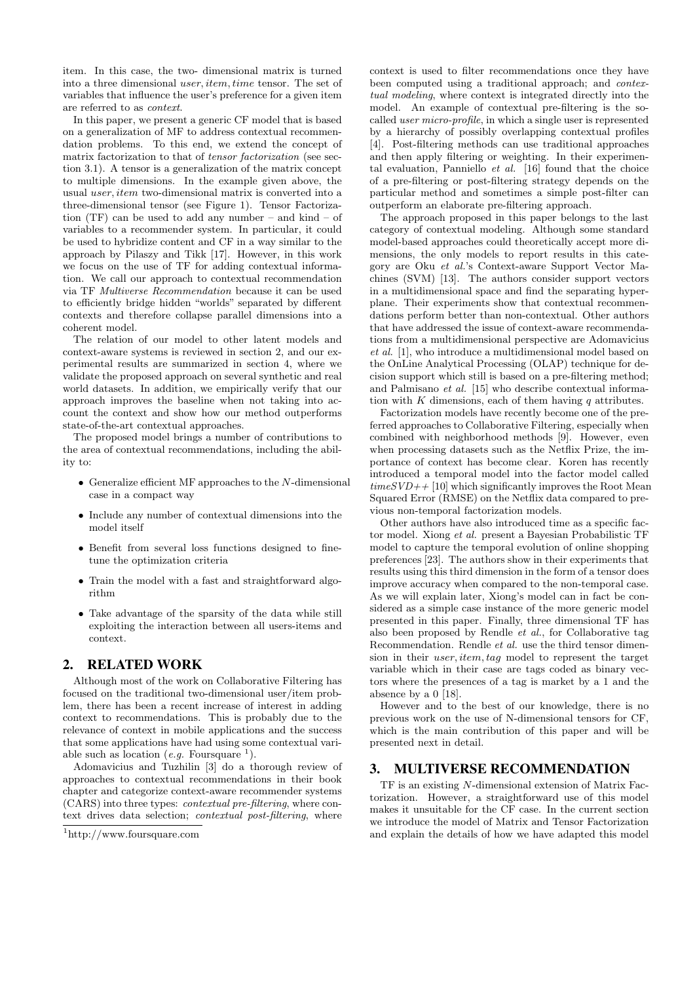item. In this case, the two- dimensional matrix is turned into a three dimensional user, item, time tensor. The set of variables that influence the user's preference for a given item are referred to as context.

In this paper, we present a generic CF model that is based on a generalization of MF to address contextual recommendation problems. To this end, we extend the concept of matrix factorization to that of tensor factorization (see section 3.1). A tensor is a generalization of the matrix concept to multiple dimensions. In the example given above, the usual user, item two-dimensional matrix is converted into a three-dimensional tensor (see Figure 1). Tensor Factorization (TF) can be used to add any number – and kind – of variables to a recommender system. In particular, it could be used to hybridize content and CF in a way similar to the approach by Pilaszy and Tikk [17]. However, in this work we focus on the use of TF for adding contextual information. We call our approach to contextual recommendation via TF Multiverse Recommendation because it can be used to efficiently bridge hidden "worlds" separated by different contexts and therefore collapse parallel dimensions into a coherent model.

The relation of our model to other latent models and context-aware systems is reviewed in section 2, and our experimental results are summarized in section 4, where we validate the proposed approach on several synthetic and real world datasets. In addition, we empirically verify that our approach improves the baseline when not taking into account the context and show how our method outperforms state-of-the-art contextual approaches.

The proposed model brings a number of contributions to the area of contextual recommendations, including the ability to:

- $\bullet$  Generalize efficient MF approaches to the N-dimensional case in a compact way
- Include any number of contextual dimensions into the model itself
- Benefit from several loss functions designed to finetune the optimization criteria
- Train the model with a fast and straightforward algorithm
- Take advantage of the sparsity of the data while still exploiting the interaction between all users-items and context.

# 2. RELATED WORK

Although most of the work on Collaborative Filtering has focused on the traditional two-dimensional user/item problem, there has been a recent increase of interest in adding context to recommendations. This is probably due to the relevance of context in mobile applications and the success that some applications have had using some contextual variable such as location (*e.g.* Foursquare <sup>1</sup>).

Adomavicius and Tuzhilin [3] do a thorough review of approaches to contextual recommendations in their book chapter and categorize context-aware recommender systems (CARS) into three types: contextual pre-filtering, where context drives data selection; contextual post-filtering, where

context is used to filter recommendations once they have been computed using a traditional approach; and *contex*tual modeling, where context is integrated directly into the model. An example of contextual pre-filtering is the socalled user micro-profile, in which a single user is represented by a hierarchy of possibly overlapping contextual profiles [4]. Post-filtering methods can use traditional approaches and then apply filtering or weighting. In their experimental evaluation, Panniello et al. [16] found that the choice of a pre-filtering or post-filtering strategy depends on the particular method and sometimes a simple post-filter can outperform an elaborate pre-filtering approach.

The approach proposed in this paper belongs to the last category of contextual modeling. Although some standard model-based approaches could theoretically accept more dimensions, the only models to report results in this category are Oku et al.'s Context-aware Support Vector Machines (SVM) [13]. The authors consider support vectors in a multidimensional space and find the separating hyperplane. Their experiments show that contextual recommendations perform better than non-contextual. Other authors that have addressed the issue of context-aware recommendations from a multidimensional perspective are Adomavicius et al. [1], who introduce a multidimensional model based on the OnLine Analytical Processing (OLAP) technique for decision support which still is based on a pre-filtering method; and Palmisano et al. [15] who describe contextual information with  $K$  dimensions, each of them having  $q$  attributes.

Factorization models have recently become one of the preferred approaches to Collaborative Filtering, especially when combined with neighborhood methods [9]. However, even when processing datasets such as the Netflix Prize, the importance of context has become clear. Koren has recently introduced a temporal model into the factor model called  $timeSVD++$  [10] which significantly improves the Root Mean Squared Error (RMSE) on the Netflix data compared to previous non-temporal factorization models.

Other authors have also introduced time as a specific factor model. Xiong et al. present a Bayesian Probabilistic TF model to capture the temporal evolution of online shopping preferences [23]. The authors show in their experiments that results using this third dimension in the form of a tensor does improve accuracy when compared to the non-temporal case. As we will explain later, Xiong's model can in fact be considered as a simple case instance of the more generic model presented in this paper. Finally, three dimensional TF has also been proposed by Rendle et al., for Collaborative tag Recommendation. Rendle et al. use the third tensor dimension in their user, item, tag model to represent the target variable which in their case are tags coded as binary vectors where the presences of a tag is market by a 1 and the absence by a 0 [18].

However and to the best of our knowledge, there is no previous work on the use of N-dimensional tensors for CF, which is the main contribution of this paper and will be presented next in detail.

# 3. MULTIVERSE RECOMMENDATION

TF is an existing N-dimensional extension of Matrix Factorization. However, a straightforward use of this model makes it unsuitable for the CF case. In the current section we introduce the model of Matrix and Tensor Factorization and explain the details of how we have adapted this model

<sup>1</sup>http://www.foursquare.com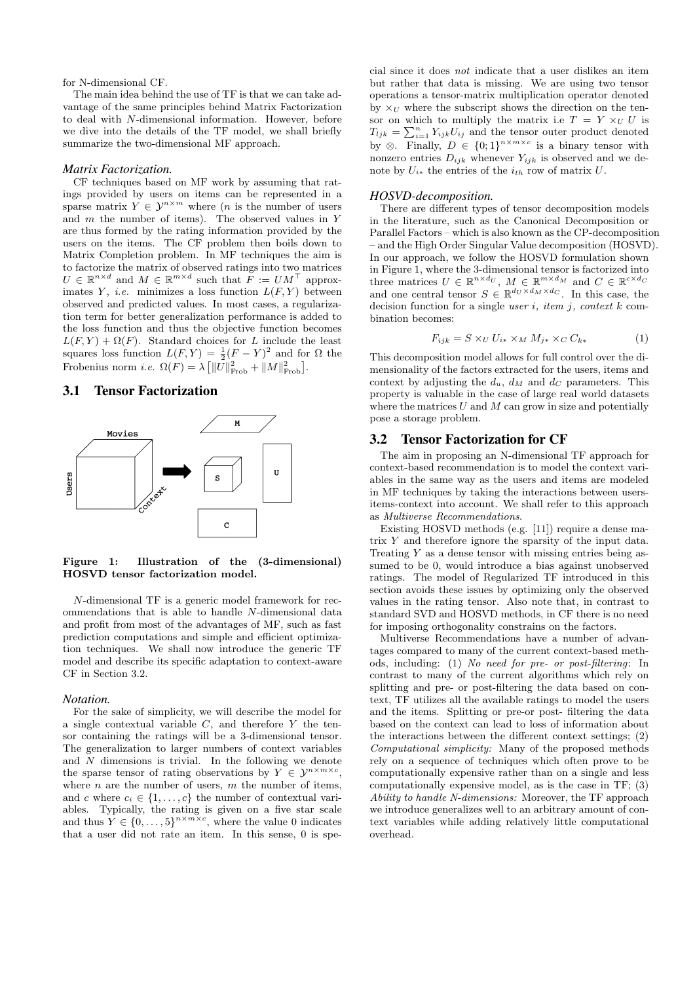for N-dimensional CF.

The main idea behind the use of TF is that we can take advantage of the same principles behind Matrix Factorization to deal with N-dimensional information. However, before we dive into the details of the TF model, we shall briefly summarize the two-dimensional MF approach.

## *Matrix Factorization.*

CF techniques based on MF work by assuming that ratings provided by users on items can be represented in a sparse matrix  $Y \in \mathcal{Y}^{n \times m}$  where (*n* is the number of users and  $m$  the number of items). The observed values in  $Y$ are thus formed by the rating information provided by the users on the items. The CF problem then boils down to Matrix Completion problem. In MF techniques the aim is to factorize the matrix of observed ratings into two matrices  $U \in \mathbb{R}^{n \times d}$  and  $M \in \mathbb{R}^{m \times d}$  such that  $\overline{F} := UM^{\top}$  approximates Y, *i.e.* minimizes a loss function  $L(F, Y)$  between observed and predicted values. In most cases, a regularization term for better generalization performance is added to the loss function and thus the objective function becomes  $L(F, Y) + \Omega(F)$ . Standard choices for L include the least squares loss function  $L(F, Y) = \frac{1}{2}(F - Y)^2$  and for  $\Omega$  the Frobenius norm *i.e.*  $\Omega(F) = \lambda \left[ ||U||_{\text{Frob}}^2 + ||M||_{\text{Frob}}^2 \right]$ .

## 3.1 Tensor Factorization



Figure 1: Illustration of the (3-dimensional) HOSVD tensor factorization model.

N-dimensional TF is a generic model framework for recommendations that is able to handle N-dimensional data and profit from most of the advantages of MF, such as fast prediction computations and simple and efficient optimization techniques. We shall now introduce the generic TF model and describe its specific adaptation to context-aware CF in Section 3.2.

## *Notation.*

For the sake of simplicity, we will describe the model for a single contextual variable  $C$ , and therefore  $Y$  the tensor containing the ratings will be a 3-dimensional tensor. The generalization to larger numbers of context variables and  $N$  dimensions is trivial. In the following we denote the sparse tensor of rating observations by  $Y \in \mathcal{Y}^{n \times m \times c}$ , where  $n$  are the number of users,  $m$  the number of items, and c where  $c_i \in \{1, \ldots, c\}$  the number of contextual variables. Typically, the rating is given on a five star scale and thus  $Y \in \{0, \ldots, 5\}^{n \times m \times c}$ , where the value 0 indicates that a user did not rate an item. In this sense, 0 is spe-

cial since it does not indicate that a user dislikes an item but rather that data is missing. We are using two tensor operations a tensor-matrix multiplication operator denoted by  $\times_U$  where the subscript shows the direction on the tensor on which to multiply the matrix i.e  $T = Y \times_U U$  is  $T_{ljk} = \sum_{i=1}^{n} Y_{ijk} U_{ij}$  and the tensor outer product denoted by ⊗. Finally,  $D \in \{0,1\}^{n \times m \times c}$  is a binary tensor with nonzero entries  $D_{ijk}$  whenever  $Y_{ijk}$  is observed and we denote by  $U_{i*}$  the entries of the  $i_{th}$  row of matrix U.

## *HOSVD-decomposition.*

There are different types of tensor decomposition models in the literature, such as the Canonical Decomposition or Parallel Factors – which is also known as the CP-decomposition – and the High Order Singular Value decomposition (HOSVD). In our approach, we follow the HOSVD formulation shown in Figure 1, where the 3-dimensional tensor is factorized into three matrices  $U \in \mathbb{R}^{n \times d_U}$ ,  $M \in \mathbb{R}^{m \times d_M}$  and  $C \in \mathbb{R}^{c \times d_U}$ and one central tensor  $S \in \mathbb{R}^{d_U \times d_M \times d_C}$ . In this case, the decision function for a single user i, item j, context  $k$  combination becomes:

$$
F_{ijk} = S \times_U U_{i*} \times_M M_{j*} \times_C C_{k*}
$$
 (1)

This decomposition model allows for full control over the dimensionality of the factors extracted for the users, items and context by adjusting the  $d_u$ ,  $d_M$  and  $d_C$  parameters. This property is valuable in the case of large real world datasets where the matrices  $U$  and  $M$  can grow in size and potentially pose a storage problem.

# 3.2 Tensor Factorization for CF

The aim in proposing an N-dimensional TF approach for context-based recommendation is to model the context variables in the same way as the users and items are modeled in MF techniques by taking the interactions between usersitems-context into account. We shall refer to this approach as Multiverse Recommendations.

Existing HOSVD methods (e.g. [11]) require a dense matrix Y and therefore ignore the sparsity of the input data. Treating  $Y$  as a dense tensor with missing entries being assumed to be 0, would introduce a bias against unobserved ratings. The model of Regularized TF introduced in this section avoids these issues by optimizing only the observed values in the rating tensor. Also note that, in contrast to standard SVD and HOSVD methods, in CF there is no need for imposing orthogonality constrains on the factors.

Multiverse Recommendations have a number of advantages compared to many of the current context-based methods, including: (1) No need for pre- or post-filtering: In contrast to many of the current algorithms which rely on splitting and pre- or post-filtering the data based on context, TF utilizes all the available ratings to model the users and the items. Splitting or pre-or post- filtering the data based on the context can lead to loss of information about the interactions between the different context settings; (2) Computational simplicity: Many of the proposed methods rely on a sequence of techniques which often prove to be computationally expensive rather than on a single and less computationally expensive model, as is the case in TF; (3) Ability to handle N-dimensions: Moreover, the TF approach we introduce generalizes well to an arbitrary amount of context variables while adding relatively little computational overhead.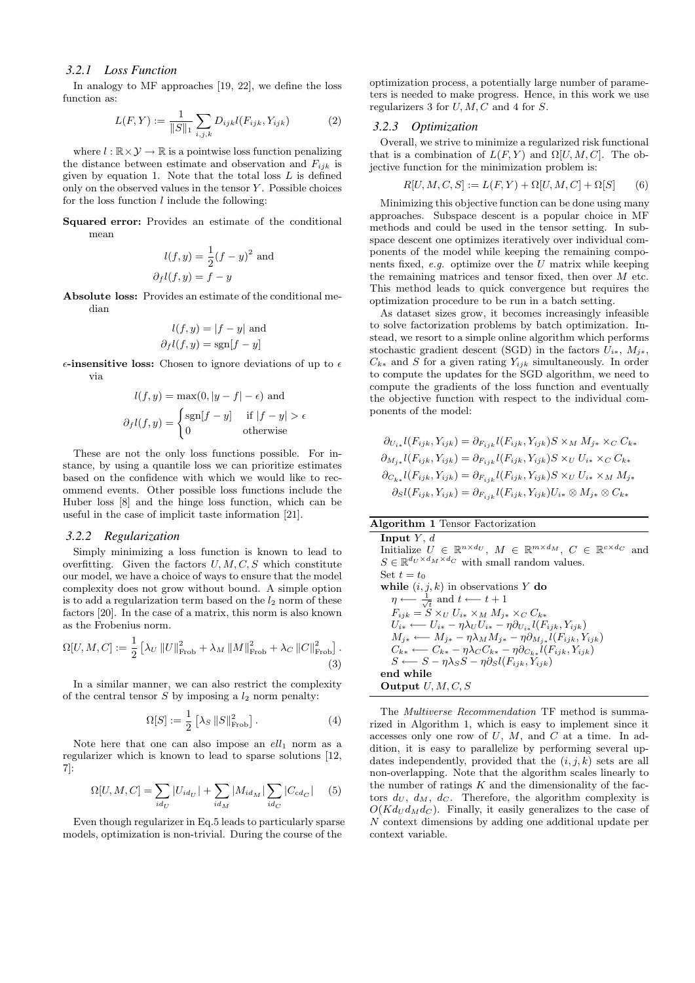# *3.2.1 Loss Function*

In analogy to MF approaches [19, 22], we define the loss function as:

$$
L(F, Y) := \frac{1}{\|S\|_1} \sum_{i,j,k} D_{ijk} l(F_{ijk}, Y_{ijk})
$$
 (2)

where  $l: \mathbb{R} \times \mathcal{Y} \rightarrow \mathbb{R}$  is a pointwise loss function penalizing the distance between estimate and observation and  $F_{ijk}$  is given by equation 1. Note that the total loss  $L$  is defined only on the observed values in the tensor  $Y$ . Possible choices for the loss function  $l$  include the following:

Squared error: Provides an estimate of the conditional mean

$$
l(f, y) = \frac{1}{2}(f - y)^2
$$
 and  

$$
\partial_f l(f, y) = f - y
$$

Absolute loss: Provides an estimate of the conditional median

$$
l(f, y) = |f - y|
$$
and  

$$
\partial_f l(f, y) = \text{sgn}[f - y]
$$

 $\epsilon$ -insensitive loss: Chosen to ignore deviations of up to  $\epsilon$ via

$$
l(f, y) = \max(0, |y - f| - \epsilon) \text{ and}
$$

$$
\partial_f l(f, y) = \begin{cases} \text{sgn}[f - y] & \text{if } |f - y| > \epsilon \\ 0 & \text{otherwise} \end{cases}
$$

These are not the only loss functions possible. For instance, by using a quantile loss we can prioritize estimates based on the confidence with which we would like to recommend events. Other possible loss functions include the Huber loss [8] and the hinge loss function, which can be useful in the case of implicit taste information [21].

#### *3.2.2 Regularization*

Simply minimizing a loss function is known to lead to overfitting. Given the factors  $U, M, C, S$  which constitute our model, we have a choice of ways to ensure that the model complexity does not grow without bound. A simple option is to add a regularization term based on the  $l_2$  norm of these factors [20]. In the case of a matrix, this norm is also known as the Frobenius norm.

$$
\Omega[U, M, C] := \frac{1}{2} \left[ \lambda_U \left\| U \right\|_{\text{Frob}}^2 + \lambda_M \left\| M \right\|_{\text{Frob}}^2 + \lambda_C \left\| C \right\|_{\text{Frob}}^2 \right].
$$
\n(3)

In a similar manner, we can also restrict the complexity of the central tensor  $S$  by imposing a  $l_2$  norm penalty:

$$
\Omega[S] := \frac{1}{2} \left[ \lambda_S \left\| S \right\|_{\text{Frob}}^2 \right]. \tag{4}
$$

Note here that one can also impose an  $ell_1$  norm as a regularizer which is known to lead to sparse solutions [12, 7]:

$$
\Omega[U, M, C] = \sum_{id_U} |U_{id_U}| + \sum_{id_M} |M_{id_M}| \sum_{id_C} |C_{cd_C}| \quad (5)
$$

Even though regularizer in Eq.5 leads to particularly sparse models, optimization is non-trivial. During the course of the

optimization process, a potentially large number of parameters is needed to make progress. Hence, in this work we use regularizers 3 for  $U, M, C$  and 4 for  $S$ .

#### *3.2.3 Optimization*

Overall, we strive to minimize a regularized risk functional that is a combination of  $L(F, Y)$  and  $\Omega[U, M, C]$ . The objective function for the minimization problem is:

$$
R[U, M, C, S] := L(F, Y) + \Omega[U, M, C] + \Omega[S] \qquad (6)
$$

Minimizing this objective function can be done using many approaches. Subspace descent is a popular choice in MF methods and could be used in the tensor setting. In subspace descent one optimizes iteratively over individual components of the model while keeping the remaining components fixed,  $e.g.$  optimize over the U matrix while keeping the remaining matrices and tensor fixed, then over  $M$  etc. This method leads to quick convergence but requires the optimization procedure to be run in a batch setting.

As dataset sizes grow, it becomes increasingly infeasible to solve factorization problems by batch optimization. Instead, we resort to a simple online algorithm which performs stochastic gradient descent (SGD) in the factors  $U_{i*}$ ,  $M_{i*}$ ,  $C_{k*}$  and S for a given rating  $Y_{ijk}$  simultaneously. In order to compute the updates for the SGD algorithm, we need to compute the gradients of the loss function and eventually the objective function with respect to the individual components of the model:

$$
\partial_{U_{i*}} l(F_{ijk}, Y_{ijk}) = \partial_{F_{ijk}} l(F_{ijk}, Y_{ijk}) S \times_M M_{j*} \times_C C_{k*}
$$
  

$$
\partial_{M_{j*}} l(F_{ijk}, Y_{ijk}) = \partial_{F_{ijk}} l(F_{ijk}, Y_{ijk}) S \times_U U_{i*} \times_C C_{k*}
$$
  

$$
\partial_{C_{k*}} l(F_{ijk}, Y_{ijk}) = \partial_{F_{ijk}} l(F_{ijk}, Y_{ijk}) S \times_U U_{i*} \times_M M_{j*}
$$
  

$$
\partial_S l(F_{ijk}, Y_{ijk}) = \partial_{F_{ijk}} l(F_{ijk}, Y_{ijk}) U_{i*} \otimes M_{j*} \otimes C_{k*}
$$

Algorithm 1 Tensor Factorization

Input  $Y, d$ Initialize  $U \in \mathbb{R}^{n \times d_U}$ ,  $M \in \mathbb{R}^{m \times d_M}$ ,  $C \in \mathbb{R}^{c \times d_U}$  and  $S \in \mathbb{R}^{d_U \times d_M \times d_C}$  with small random values. Set  $t = t_0$ while  $(i, j, k)$  in observations Y do  $\eta \longleftarrow \frac{1}{\sqrt{t}}$  and  $t \longleftarrow t+1$  $F_{ijk} = \mathcal{S} \times_U U_{i*} \times_M M_{j*} \times_C C_{k*}$  $U_{i*} \longleftarrow U_{i*} - \eta \lambda_U U_{i*} - \eta \partial_{U_{i*}} l(F_{ijk}, Y_{ijk})$  $M_{j\ast} \longleftarrow M_{j\ast} - \eta \lambda_M M_{j\ast} - \eta \partial_{M_{j\ast}} l(F_{ijk}, Y_{ijk})$  $C_{k*} \longleftarrow C_{k*} - \eta \lambda_C C_{k*} - \eta \partial_{C_{k*}} l(F_{ijk}, Y_{ijk})$  $S \longleftarrow S - \eta \lambda_S S - \eta \partial_S l(F_{ijk}, Y_{ijk})$ end while Output  $U, M, C, S$ 

The Multiverse Recommendation TF method is summarized in Algorithm 1, which is easy to implement since it accesses only one row of  $U, M$ , and  $C$  at a time. In addition, it is easy to parallelize by performing several updates independently, provided that the  $(i, j, k)$  sets are all non-overlapping. Note that the algorithm scales linearly to the number of ratings  $K$  and the dimensionality of the factors  $d_U$ ,  $d_M$ ,  $d_C$ . Therefore, the algorithm complexity is  $O(Kd_U d_M d_C)$ . Finally, it easily generalizes to the case of  $N$  context dimensions by adding one additional update per context variable.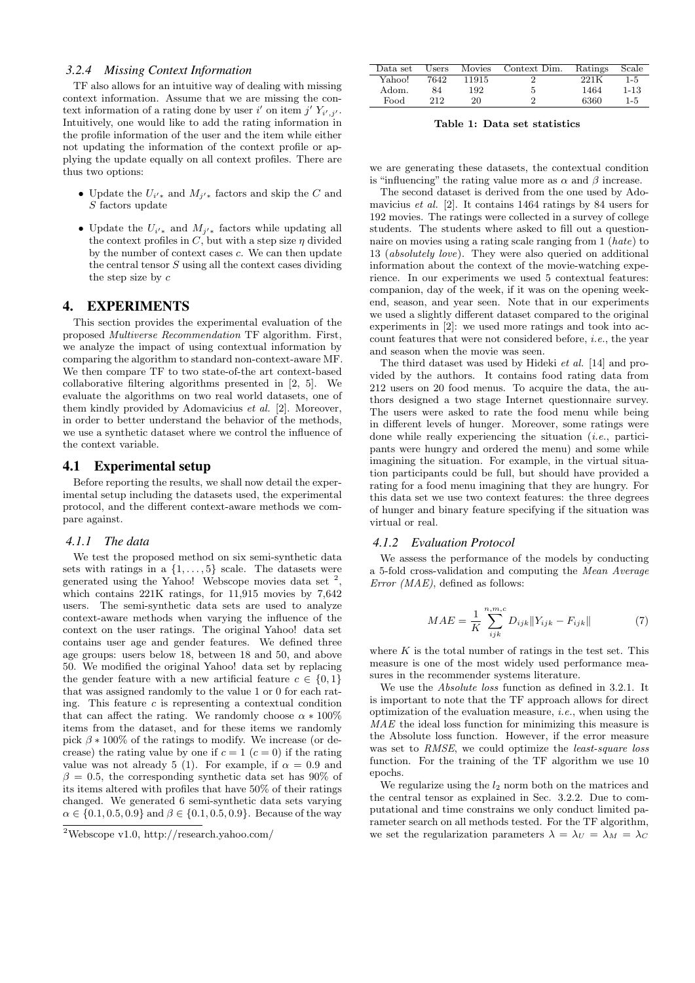## *3.2.4 Missing Context Information*

TF also allows for an intuitive way of dealing with missing context information. Assume that we are missing the context information of a rating done by user i' on item j'  $Y_{i',j'}$ . Intuitively, one would like to add the rating information in the profile information of the user and the item while either not updating the information of the context profile or applying the update equally on all context profiles. There are thus two options:

- Update the  $U_{i' *}$  and  $M_{j' *}$  factors and skip the C and  $S$  factors update
- Update the  $U_{i' *}$  and  $M_{j' *}$  factors while updating all the context profiles in C, but with a step size  $\eta$  divided by the number of context cases c. We can then update the central tensor  $S$  using all the context cases dividing the step size by c

# 4. EXPERIMENTS

This section provides the experimental evaluation of the proposed Multiverse Recommendation TF algorithm. First, we analyze the impact of using contextual information by comparing the algorithm to standard non-context-aware MF. We then compare TF to two state-of-the art context-based collaborative filtering algorithms presented in [2, 5]. We evaluate the algorithms on two real world datasets, one of them kindly provided by Adomavicius et al. [2]. Moreover, in order to better understand the behavior of the methods, we use a synthetic dataset where we control the influence of the context variable.

# 4.1 Experimental setup

Before reporting the results, we shall now detail the experimental setup including the datasets used, the experimental protocol, and the different context-aware methods we compare against.

## *4.1.1 The data*

We test the proposed method on six semi-synthetic data sets with ratings in a  $\{1, \ldots, 5\}$  scale. The datasets were generated using the Yahoo! Webscope movies data set  $^2$ , which contains 221K ratings, for 11,915 movies by 7,642 users. The semi-synthetic data sets are used to analyze context-aware methods when varying the influence of the context on the user ratings. The original Yahoo! data set contains user age and gender features. We defined three age groups: users below 18, between 18 and 50, and above 50. We modified the original Yahoo! data set by replacing the gender feature with a new artificial feature  $c \in \{0, 1\}$ that was assigned randomly to the value 1 or 0 for each rating. This feature  $c$  is representing a contextual condition that can affect the rating. We randomly choose  $\alpha * 100\%$ items from the dataset, and for these items we randomly pick  $\beta * 100\%$  of the ratings to modify. We increase (or decrease) the rating value by one if  $c = 1$   $(c = 0)$  if the rating value was not already 5 (1). For example, if  $\alpha = 0.9$  and  $\beta = 0.5$ , the corresponding synthetic data set has 90% of its items altered with profiles that have 50% of their ratings changed. We generated 6 semi-synthetic data sets varying  $\alpha \in \{0.1, 0.5, 0.9\}$  and  $\beta \in \{0.1, 0.5, 0.9\}$ . Because of the way

| Data set | Users | <b>Movies</b> | Context Dim. | Ratings | Scale    |
|----------|-------|---------------|--------------|---------|----------|
| Yahoo!   | 7642  | 11915         |              | 221K    | 1-5      |
| Adom.    | 84    | 192           | 5            | 1464    | $1 - 13$ |
| Food     | 919   | 20            |              | 6360    | 1-5      |

Table 1: Data set statistics

we are generating these datasets, the contextual condition is "influencing" the rating value more as  $\alpha$  and  $\beta$  increase.

The second dataset is derived from the one used by Adomavicius et al. [2]. It contains 1464 ratings by 84 users for 192 movies. The ratings were collected in a survey of college students. The students where asked to fill out a questionnaire on movies using a rating scale ranging from 1 (hate) to 13 (absolutely love). They were also queried on additional information about the context of the movie-watching experience. In our experiments we used 5 contextual features: companion, day of the week, if it was on the opening weekend, season, and year seen. Note that in our experiments we used a slightly different dataset compared to the original experiments in [2]: we used more ratings and took into account features that were not considered before, i.e., the year and season when the movie was seen.

The third dataset was used by Hideki et al. [14] and provided by the authors. It contains food rating data from 212 users on 20 food menus. To acquire the data, the authors designed a two stage Internet questionnaire survey. The users were asked to rate the food menu while being in different levels of hunger. Moreover, some ratings were done while really experiencing the situation  $(i.e.,$  participants were hungry and ordered the menu) and some while imagining the situation. For example, in the virtual situation participants could be full, but should have provided a rating for a food menu imagining that they are hungry. For this data set we use two context features: the three degrees of hunger and binary feature specifying if the situation was virtual or real.

## *4.1.2 Evaluation Protocol*

We assess the performance of the models by conducting a 5-fold cross-validation and computing the Mean Average  $Error (MAE)$ , defined as follows:

$$
MAE = \frac{1}{K} \sum_{ijk}^{n,m,c} D_{ijk} ||Y_{ijk} - F_{ijk}|| \tag{7}
$$

where  $K$  is the total number of ratings in the test set. This measure is one of the most widely used performance measures in the recommender systems literature.

We use the Absolute loss function as defined in 3.2.1. It is important to note that the TF approach allows for direct optimization of the evaluation measure, i.e., when using the MAE the ideal loss function for minimizing this measure is the Absolute loss function. However, if the error measure was set to RMSE, we could optimize the least-square loss function. For the training of the TF algorithm we use 10 epochs.

We regularize using the  $l_2$  norm both on the matrices and the central tensor as explained in Sec. 3.2.2. Due to computational and time constrains we only conduct limited parameter search on all methods tested. For the TF algorithm, we set the regularization parameters  $\lambda = \lambda_U = \lambda_M = \lambda_C$ 

<sup>&</sup>lt;sup>2</sup>Webscope v1.0, http://research.yahoo.com/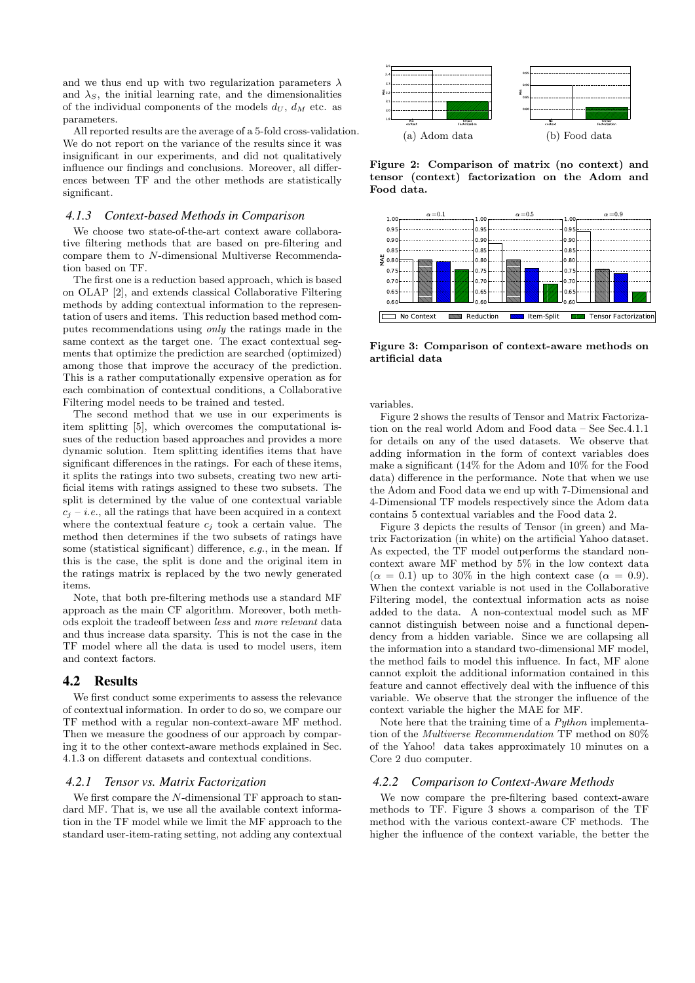and we thus end up with two regularization parameters  $\lambda$ and  $\lambda_S$ , the initial learning rate, and the dimensionalities of the individual components of the models  $d_U$ ,  $d_M$  etc. as parameters.

All reported results are the average of a 5-fold cross-validation. We do not report on the variance of the results since it was insignificant in our experiments, and did not qualitatively influence our findings and conclusions. Moreover, all differences between TF and the other methods are statistically significant.

## *4.1.3 Context-based Methods in Comparison*

We choose two state-of-the-art context aware collaborative filtering methods that are based on pre-filtering and compare them to N-dimensional Multiverse Recommendation based on TF.

The first one is a reduction based approach, which is based on OLAP [2], and extends classical Collaborative Filtering methods by adding contextual information to the representation of users and items. This reduction based method computes recommendations using only the ratings made in the same context as the target one. The exact contextual segments that optimize the prediction are searched (optimized) among those that improve the accuracy of the prediction. This is a rather computationally expensive operation as for each combination of contextual conditions, a Collaborative Filtering model needs to be trained and tested.

The second method that we use in our experiments is item splitting [5], which overcomes the computational issues of the reduction based approaches and provides a more dynamic solution. Item splitting identifies items that have significant differences in the ratings. For each of these items, it splits the ratings into two subsets, creating two new artificial items with ratings assigned to these two subsets. The split is determined by the value of one contextual variable  $c_i - i.e.,$  all the ratings that have been acquired in a context where the contextual feature  $c_i$  took a certain value. The method then determines if the two subsets of ratings have some (statistical significant) difference, e.g., in the mean. If this is the case, the split is done and the original item in the ratings matrix is replaced by the two newly generated items.

Note, that both pre-filtering methods use a standard MF approach as the main CF algorithm. Moreover, both methods exploit the tradeoff between less and more relevant data and thus increase data sparsity. This is not the case in the TF model where all the data is used to model users, item and context factors.

# 4.2 Results

We first conduct some experiments to assess the relevance of contextual information. In order to do so, we compare our TF method with a regular non-context-aware MF method. Then we measure the goodness of our approach by comparing it to the other context-aware methods explained in Sec. 4.1.3 on different datasets and contextual conditions.

#### *4.2.1 Tensor vs. Matrix Factorization*

We first compare the N-dimensional TF approach to standard MF. That is, we use all the available context information in the TF model while we limit the MF approach to the standard user-item-rating setting, not adding any contextual



Figure 2: Comparison of matrix (no context) and tensor (context) factorization on the Adom and Food data.



Figure 3: Comparison of context-aware methods on artificial data

variables.

Figure 2 shows the results of Tensor and Matrix Factorization on the real world Adom and Food data – See Sec.4.1.1 for details on any of the used datasets. We observe that adding information in the form of context variables does make a significant (14% for the Adom and 10% for the Food data) difference in the performance. Note that when we use the Adom and Food data we end up with 7-Dimensional and 4-Dimensional TF models respectively since the Adom data contains 5 contextual variables and the Food data 2.

Figure 3 depicts the results of Tensor (in green) and Matrix Factorization (in white) on the artificial Yahoo dataset. As expected, the TF model outperforms the standard noncontext aware MF method by 5% in the low context data  $(\alpha = 0.1)$  up to 30% in the high context case  $(\alpha = 0.9)$ . When the context variable is not used in the Collaborative Filtering model, the contextual information acts as noise added to the data. A non-contextual model such as MF cannot distinguish between noise and a functional dependency from a hidden variable. Since we are collapsing all the information into a standard two-dimensional MF model, the method fails to model this influence. In fact, MF alone cannot exploit the additional information contained in this feature and cannot effectively deal with the influence of this variable. We observe that the stronger the influence of the context variable the higher the MAE for MF.

Note here that the training time of a Python implementation of the Multiverse Recommendation TF method on 80% of the Yahoo! data takes approximately 10 minutes on a Core 2 duo computer.

#### *4.2.2 Comparison to Context-Aware Methods*

We now compare the pre-filtering based context-aware methods to TF. Figure 3 shows a comparison of the TF method with the various context-aware CF methods. The higher the influence of the context variable, the better the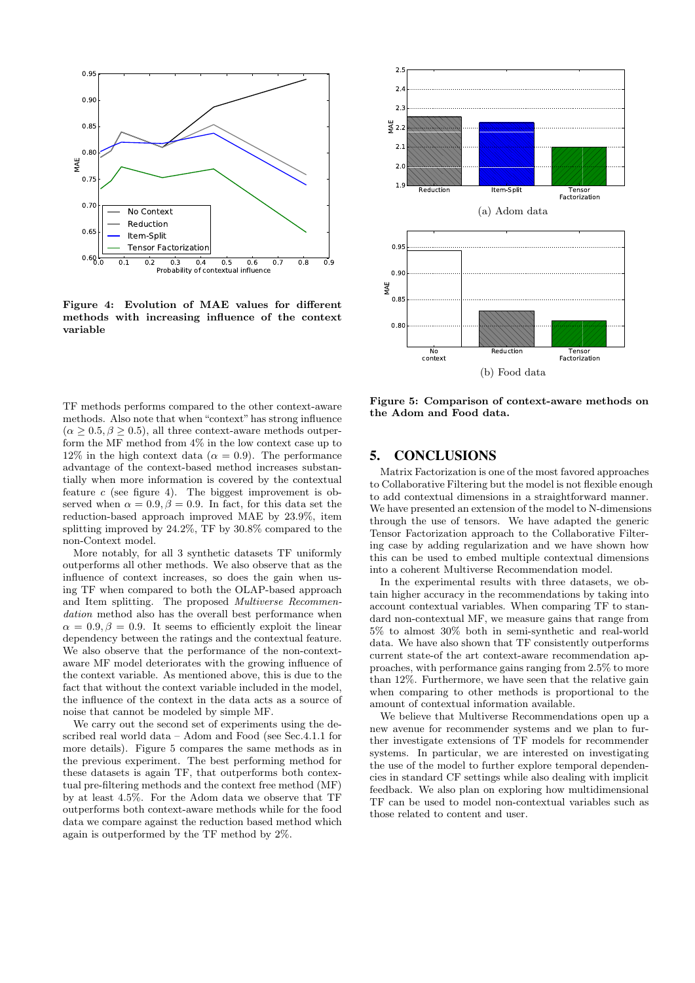

Figure 4: Evolution of MAE values for different methods with increasing influence of the context variable

TF methods performs compared to the other context-aware methods. Also note that when "context" has strong influence  $(\alpha > 0.5, \beta > 0.5)$ , all three context-aware methods outperform the MF method from 4% in the low context case up to 12% in the high context data ( $\alpha = 0.9$ ). The performance advantage of the context-based method increases substantially when more information is covered by the contextual feature c (see figure 4). The biggest improvement is observed when  $\alpha = 0.9$ ,  $\beta = 0.9$ . In fact, for this data set the reduction-based approach improved MAE by 23.9%, item splitting improved by 24.2%, TF by 30.8% compared to the non-Context model.

More notably, for all 3 synthetic datasets TF uniformly outperforms all other methods. We also observe that as the influence of context increases, so does the gain when using TF when compared to both the OLAP-based approach and Item splitting. The proposed Multiverse Recommendation method also has the overall best performance when  $\alpha = 0.9, \beta = 0.9$ . It seems to efficiently exploit the linear dependency between the ratings and the contextual feature. We also observe that the performance of the non-contextaware MF model deteriorates with the growing influence of the context variable. As mentioned above, this is due to the fact that without the context variable included in the model, the influence of the context in the data acts as a source of noise that cannot be modeled by simple MF.

We carry out the second set of experiments using the described real world data – Adom and Food (see Sec.4.1.1 for more details). Figure 5 compares the same methods as in the previous experiment. The best performing method for these datasets is again TF, that outperforms both contextual pre-filtering methods and the context free method (MF) by at least 4.5%. For the Adom data we observe that TF outperforms both context-aware methods while for the food data we compare against the reduction based method which again is outperformed by the TF method by 2%.



Figure 5: Comparison of context-aware methods on the Adom and Food data.

# 5. CONCLUSIONS

Matrix Factorization is one of the most favored approaches to Collaborative Filtering but the model is not flexible enough to add contextual dimensions in a straightforward manner. We have presented an extension of the model to N-dimensions through the use of tensors. We have adapted the generic Tensor Factorization approach to the Collaborative Filtering case by adding regularization and we have shown how this can be used to embed multiple contextual dimensions into a coherent Multiverse Recommendation model.

In the experimental results with three datasets, we obtain higher accuracy in the recommendations by taking into account contextual variables. When comparing TF to standard non-contextual MF, we measure gains that range from 5% to almost 30% both in semi-synthetic and real-world data. We have also shown that TF consistently outperforms current state-of the art context-aware recommendation approaches, with performance gains ranging from 2.5% to more than 12%. Furthermore, we have seen that the relative gain when comparing to other methods is proportional to the amount of contextual information available.

We believe that Multiverse Recommendations open up a new avenue for recommender systems and we plan to further investigate extensions of TF models for recommender systems. In particular, we are interested on investigating the use of the model to further explore temporal dependencies in standard CF settings while also dealing with implicit feedback. We also plan on exploring how multidimensional TF can be used to model non-contextual variables such as those related to content and user.